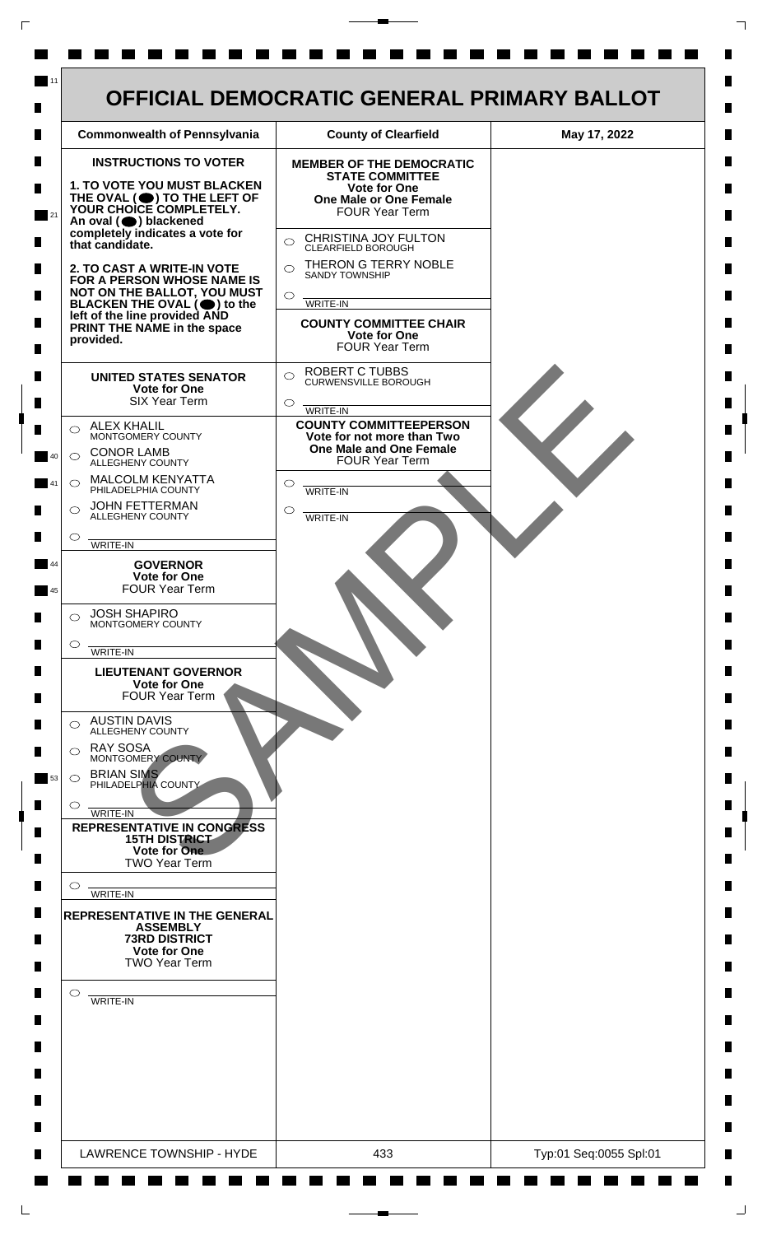| <b>Commonwealth of Pennsylvania</b>                                                                                                                                                                                                                                                                                                                                                      | <b>County of Clearfield</b>                                                    | May 17, 2022 |
|------------------------------------------------------------------------------------------------------------------------------------------------------------------------------------------------------------------------------------------------------------------------------------------------------------------------------------------------------------------------------------------|--------------------------------------------------------------------------------|--------------|
| <b>INSTRUCTIONS TO VOTER</b>                                                                                                                                                                                                                                                                                                                                                             | <b>MEMBER OF THE DEMOCRATIC</b><br><b>STATE COMMITTEE</b>                      |              |
| <b>1. TO VOTE YOU MUST BLACKEN</b><br>THE OVAL (O) TO THE LEFT OF YOUR CHOICE COMPLETELY.<br>An oval (O) blackened<br>completely indicates a vote for<br>that candidate.<br>2. TO CAST A WRITE-IN VOTE<br>FOR A PERSON WHOSE NAME IS<br>NOT ON THE BALLOT, YOU MUST<br>BLACKEN THE OVAL $(\bigcirc)$ to the<br>left of the line provided AND<br>PRINT THE NAME in the space<br>provided. | Vote for One<br><b>One Male or One Female</b>                                  |              |
|                                                                                                                                                                                                                                                                                                                                                                                          | <b>FOUR Year Term</b>                                                          |              |
|                                                                                                                                                                                                                                                                                                                                                                                          | CHRISTINA JOY FULTON<br>$\bigcirc$<br>CLEARFIELD BOROUGH                       |              |
|                                                                                                                                                                                                                                                                                                                                                                                          | THERON G TERRY NOBLE<br>$\bigcap$<br><b>SANDY TOWNSHIP</b>                     |              |
|                                                                                                                                                                                                                                                                                                                                                                                          | $\bigcirc$<br>WRITE-IN                                                         |              |
|                                                                                                                                                                                                                                                                                                                                                                                          | <b>COUNTY COMMITTEE CHAIR</b><br><b>Vote for One</b><br><b>FOUR Year Term</b>  |              |
| <b>UNITED STATES SENATOR</b><br>Vote for One<br><b>SIX Year Term</b>                                                                                                                                                                                                                                                                                                                     | <b>ROBERT C TUBBS</b><br>$\bigcirc$<br><b>CURWENSVILLE BOROUGH</b><br>$\circ$  |              |
| <b>ALEX KHALIL</b><br>◯                                                                                                                                                                                                                                                                                                                                                                  | WRITE-IN<br><b>COUNTY COMMITTEEPERSON</b>                                      |              |
| MONTGOMERY COUNTY<br><b>CONOR LAMB</b><br>$\bigcirc$<br>ALLEGHENY COUNTY                                                                                                                                                                                                                                                                                                                 | Vote for not more than Two<br>One Male and One Female<br><b>FOUR Year Term</b> |              |
| MALCOLM KENYATTA<br>$\circ$<br>PHILADELPHIA COUNTY                                                                                                                                                                                                                                                                                                                                       | $\circ$<br><b>WRITE-IN</b>                                                     |              |
| <b>JOHN FETTERMAN</b><br>$\bigcirc$<br>ALLEGHENY COUNTY                                                                                                                                                                                                                                                                                                                                  | O<br>WRITE-IN                                                                  |              |
| $\circ$<br>WRITE-IN                                                                                                                                                                                                                                                                                                                                                                      |                                                                                |              |
| <b>GOVERNOR</b><br><b>Vote for One</b><br><b>FOUR Year Term</b>                                                                                                                                                                                                                                                                                                                          |                                                                                |              |
| <b>JOSH SHAPIRO</b><br>$\bigcirc$<br>MONTGOMERY COUNTY                                                                                                                                                                                                                                                                                                                                   |                                                                                |              |
| $\circ$<br>WRITE-IN                                                                                                                                                                                                                                                                                                                                                                      |                                                                                |              |
| <b>LIEUTENANT GOVERNOR</b><br><b>Vote for One</b><br><b>FOUR Year Term</b>                                                                                                                                                                                                                                                                                                               |                                                                                |              |
| <b>AUSTIN DAVIS</b><br>⌒<br><b>ALLEGHENY COUNTY</b>                                                                                                                                                                                                                                                                                                                                      |                                                                                |              |
| <b>RAY SOSA</b><br>◯<br>MONTGOMERY COUNTY                                                                                                                                                                                                                                                                                                                                                |                                                                                |              |
| <b>BRIAN SIMS</b><br>$\circ$<br>PHILADELPHIA COUNTY<br>$\circ$                                                                                                                                                                                                                                                                                                                           |                                                                                |              |
| WRITE-IN<br><b>REPRESENTATIVE IN CONGRESS</b>                                                                                                                                                                                                                                                                                                                                            |                                                                                |              |
| <b>15TH DISTRICT</b><br>Vote for One<br><b>TWO Year Term</b>                                                                                                                                                                                                                                                                                                                             |                                                                                |              |
| $\circ$<br>WRITE-IN                                                                                                                                                                                                                                                                                                                                                                      |                                                                                |              |
| <b>REPRESENTATIVE IN THE GENERAL</b><br><b>ASSEMBLY</b>                                                                                                                                                                                                                                                                                                                                  |                                                                                |              |
| <b>73RD DISTRICT</b><br><b>Vote for One</b><br><b>TWO Year Term</b>                                                                                                                                                                                                                                                                                                                      |                                                                                |              |
| $\circ$<br>WRITE-IN                                                                                                                                                                                                                                                                                                                                                                      |                                                                                |              |
|                                                                                                                                                                                                                                                                                                                                                                                          |                                                                                |              |
|                                                                                                                                                                                                                                                                                                                                                                                          |                                                                                |              |
|                                                                                                                                                                                                                                                                                                                                                                                          |                                                                                |              |
|                                                                                                                                                                                                                                                                                                                                                                                          |                                                                                |              |
|                                                                                                                                                                                                                                                                                                                                                                                          |                                                                                |              |

 $\Gamma$ 

 $\Box$ 

 $\overline{\phantom{a}}$